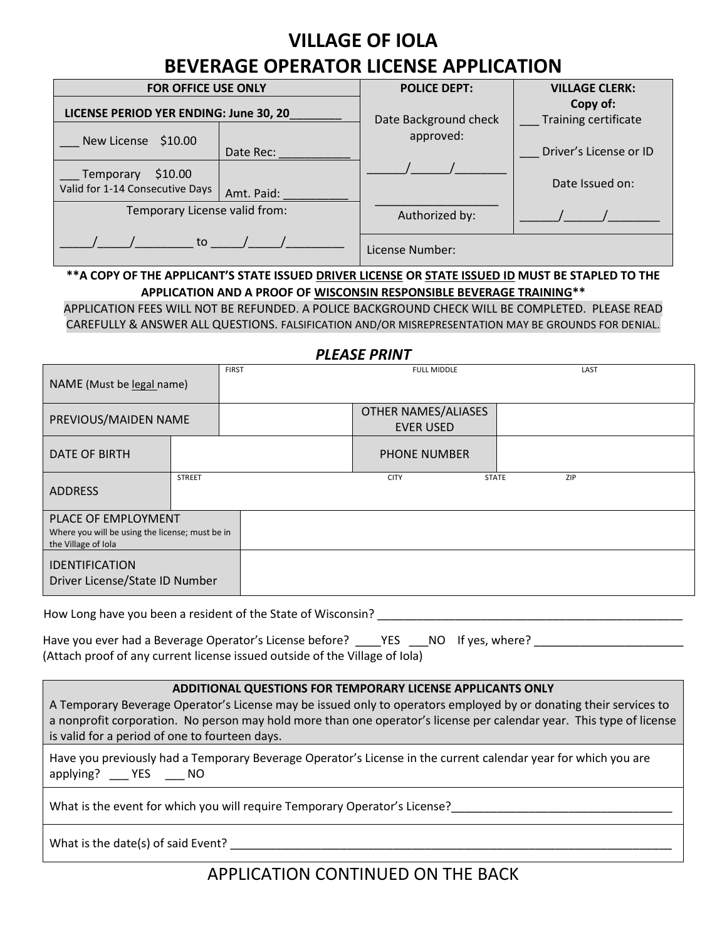## **VILLAGE OF IOLA**

# **BEVERAGE OPERATOR LICENSE APPLICATION**

| <b>FOR OFFICE USE ONLY</b>                              |            | <b>POLICE DEPT:</b>   | <b>VILLAGE CLERK:</b>            |
|---------------------------------------------------------|------------|-----------------------|----------------------------------|
| LICENSE PERIOD YER ENDING: June 30, 20                  |            | Date Background check | Copy of:<br>Training certificate |
| New License \$10.00                                     |            | approved:             |                                  |
|                                                         | Date Rec:  |                       | Driver's License or ID           |
| \$10.00<br>Temporary<br>Valid for 1-14 Consecutive Days | Amt. Paid: |                       | Date Issued on:                  |
| Temporary License valid from:                           |            | Authorized by:        |                                  |
| to                                                      |            | License Number:       |                                  |

### **\*\*A COPY OF THE APPLICANT'S STATE ISSUED DRIVER LICENSE OR STATE ISSUED ID MUST BE STAPLED TO THE APPLICATION AND A PROOF OF [WISCONSIN RESPONSIBLE BEVERAGE TRAINING\\*](https://www.bing.com/aclk?ld=e8EOvg3eaFJivaSzL2RS0d4TVUCUwv52USMtcsjwwwVMGG8el4Memk9SMXsS4KiHn8MtmfksyOnsJ1QOxO3fZckm0NNMdqeedPZcooex94_qQT52eE2X257fQoB-NI2Y5WUPMck-SoSqRV1Ebu595lgBzBnO09TNJ_q3hiN4-AZeCQJdzmFlVnhyYxIBK19VCcJ1dDPg&u=aHR0cHMlM2ElMmYlMmZ3d3cuMzYwdHJhaW5pbmcuY29tJTJmbGVhcm4yc2VydmUlMmZhbGNvaG9sJTJmd2lzY29uc2luJTNmdXRtX3NvdXJjZSUzZGJpbmclMjZ1dG1fbWVkaXVtJTNkcGFpZHNlYXJjaCUyNnV0bV9jYW1wYWlnbiUzZDQwMTQ3MDc2MiUyNnV0bV9jb250ZW50JTNkMTMwMjkyMTUzNzUzNDU5OSUyNnV0bV90ZXJtJTNkYWxjb2hvbCUyNm1zY2xraWQlM2QxZmM3MTM1NDhlNmQxMjFiYjY4ZDcxZDcxMWM5OTgwMQ&rlid=1fc713548e6d121bb68d71d711c99801)\***

APPLICATION FEES WILL NOT BE REFUNDED. A POLICE BACKGROUND CHECK WILL BE COMPLETED. PLEASE READ CAREFULLY & ANSWER ALL QUESTIONS. FALSIFICATION AND/OR MISREPRESENTATION MAY BE GROUNDS FOR DENIAL.

#### *PLEASE PRINT*

| NAME (Must be legal name)                                                                     |               | <b>FIRST</b> | <b>FULL MIDDLE</b>                             | LAST                |
|-----------------------------------------------------------------------------------------------|---------------|--------------|------------------------------------------------|---------------------|
| PREVIOUS/MAIDEN NAME                                                                          |               |              | <b>OTHER NAMES/ALIASES</b><br><b>EVER USED</b> |                     |
| DATE OF BIRTH                                                                                 |               |              | <b>PHONE NUMBER</b>                            |                     |
| <b>ADDRESS</b>                                                                                | <b>STREET</b> |              | <b>CITY</b>                                    | <b>STATE</b><br>ZIP |
| PLACE OF EMPLOYMENT<br>Where you will be using the license; must be in<br>the Village of Iola |               |              |                                                |                     |
| <b>IDENTIFICATION</b><br>Driver License/State ID Number                                       |               |              |                                                |                     |

How Long have you been a resident of the State of Wisconsin? \_\_\_\_\_\_\_\_\_\_\_\_\_\_\_\_\_\_\_\_\_\_\_\_\_\_\_\_\_\_\_\_\_\_\_\_\_\_\_\_\_\_\_\_\_\_\_

| Have you ever had a Beverage Operator's License before? YES NO If yes, where? |  |  |
|-------------------------------------------------------------------------------|--|--|
| (Attach proof of any current license issued outside of the Village of Iola)   |  |  |

#### **ADDITIONAL QUESTIONS FOR TEMPORARY LICENSE APPLICANTS ONLY**

A Temporary Beverage Operator's License may be issued only to operators employed by or donating their services to a nonprofit corporation. No person may hold more than one operator's license per calendar year. This type of license is valid for a period of one to fourteen days.

Have you previously had a Temporary Beverage Operator's License in the current calendar year for which you are applying? \_\_\_ YES \_\_\_ NO

What is the event for which you will require Temporary Operator's License?\_\_\_\_\_\_\_\_\_\_\_\_\_\_\_\_\_\_\_\_\_\_\_\_\_\_\_\_\_\_\_\_\_\_

What is the date(s) of said Event?

### APPLICATION CONTINUED ON THE BACK